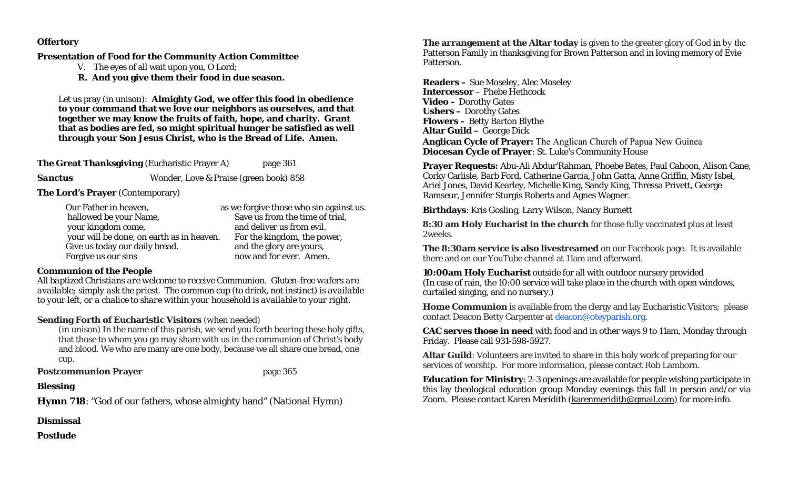## **Offertory**

## **Presentation of Food for the Community Action Committee**

- V. The eyes of all wait upon you, O Lord;
- **R. And you give them their food in due season.**

Let us pray (in unison): **Almighty God, we offer this food in obedience to your command that we love our neighbors as ourselves, and that together we may know the fruits of faith, hope, and charity. Grant that as bodies are fed, so might spiritual hunger be satisfied as well through your Son Jesus Christ, who is the Bread of Life. Amen.**

**The Great Thanksgiving** (Eucharistic Prayer A) page 361

**Sanctus Wonder, Love & Praise (green book) 858** 

**The Lord's Prayer** (Contemporary)

| Our Father in heaven,                     | as we forgive those who sin against us. |
|-------------------------------------------|-----------------------------------------|
| hallowed be your Name,                    | Save us from the time of trial,         |
| your kingdom come,                        | and deliver us from evil.               |
| your will be done, on earth as in heaven. | For the kingdom, the power,             |
| Give us today our daily bread.            | and the glory are yours,                |
| Forgive us our sins                       | now and for ever. Amen.                 |

# **Communion of the People**

*All baptized Christians are welcome to receive Communion. Gluten-free wafers are available; simply ask the priest. The common cup (to drink, not instinct) is available to your left, or a chalice to share within your household is available to your right.* 

# **Sending Forth of Eucharistic Visitors** *(when needed)*

*(in unison)* In the name of this parish, we send you forth bearing these holy gifts, that those to whom you go may share with us in the communion of Christ's body and blood. We who are many are one body, because we all share one bread, one cup.

**Postcommunion Prayer page 365** 

# **Blessing**

**Hymn 718**: "God of our fathers, whose almighty hand" *(National Hymn)* 

**Dismissal** 

**Postlude** 

**The arrangement at the Altar today** is given to the greater glory of God in by the Patterson Family in thanksgiving for Brown Patterson and in loving memory of Evie Patterson.

**Readers –** Sue Moseley, Alec Moseley **Intercessor** – Phebe Hethcock**Video –** Dorothy Gates **Ushers –** Dorothy Gates **Flowers –** Betty Barton Blythe **Altar Guild –** George Dick **Anglican Cycle of Prayer:** The Anglican Church of Papua New Guinea **Diocesan Cycle of Prayer**: St. Luke's Community House

**Prayer Requests:** Abu-Ali Abdur'Rahman, Phoebe Bates, Paul Cahoon, Alison Cane, Corky Carlisle, Barb Ford, Catherine Garcia, John Gatta, Anne Griffin, Misty Isbel, Ariel Jones, David Kearley, Michelle King, Sandy King, Thressa Privett, George Ramseur, Jennifer Sturgis Roberts and Agnes Wagner.

**Birthdays**: Kris Gosling, Larry Wilson, Nancy Burnett

**8:30 am Holy Eucharist in the church** for those fully vaccinated plus at least 2weeks.

**The 8:30am service is also livestreamed** on our Facebook page. It is available there and on our YouTube channel at 11am and afterward.

**10:00am Holy Eucharist** outside for all with outdoor nursery provided (In case of rain, the 10:00 service will take place in the church with open windows, curtailed singing, and no nursery.)

**Home Communion** is available from the clergy and lay Eucharistic Visitors; please contact Deacon Betty Carpenter at deacon@oteyparish.org.

**CAC serves those in need** with food and in other ways 9 to 11am, Monday through Friday. Please call 931-598-5927.

**Altar Guild**: Volunteers are invited to share in this holy work of preparing for our services of worship. For more information, please contact Rob Lamborn.

**Education for Ministry**: 2-3 openings are available for people wishing participate in this lay theological education group Monday evenings this fall in person and/or via Zoom. Please contact Karen Meridith (karenmeridith@gmail.com) for more info.